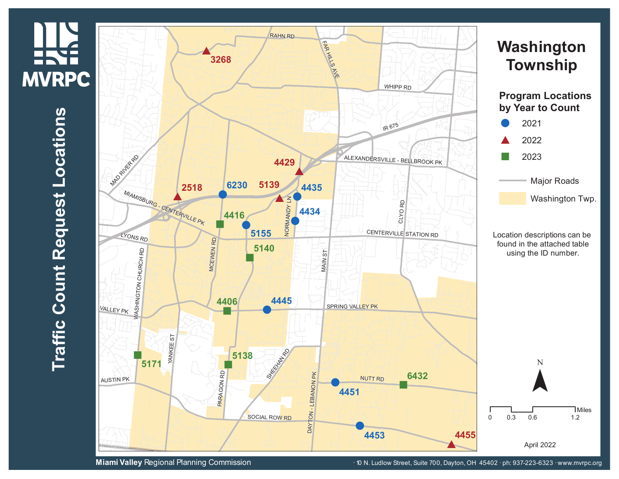## **MVRPC s n tio a**  $\mathbf{\mathbf{\mathbf{\mathbf{\omega}}}$ **o L t s e u q e R t n u o C ffic a r**  $\blacksquare$

**HAS** 



**Miami Valley** Regional Planning Commission **· 10 Microsoft 10 Microsoft 10 N.** Ludlow Street, Suite 700, Dayton, OH 45402 · ph: 937-223-6323 · www.mvrpc.org